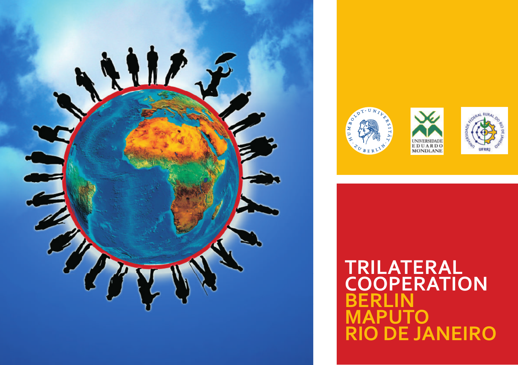







# **TRILATERAL COOPERATION BERLIN PUTO RIO DE JANEIRO**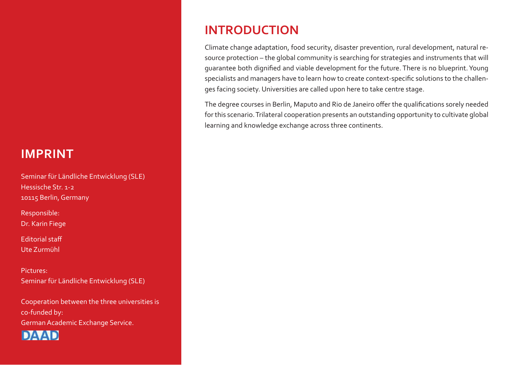# **IMPRINT**

Seminar für Ländliche Entwicklung (SLE) Hessische Str. 1-2 10115 Berlin, Germany

Responsible: Dr. Karin Fiege

Editorial staff Ute Zurmühl

Pictures: Seminar für Ländliche Entwicklung (SLE)

Cooperation between the three universities is co-funded by: German Academic Exchange Service.



# **INTRODUCTION**

Climate change adaptation, food security, disaster prevention, rural development, natural resource protection – the global community is searching for strategies and instruments that will guarantee both dignified and viable development for the future. There is no blueprint. Young specialists and managers have to learn how to create context-specific solutions to the challenges facing society. Universities are called upon here to take centre stage.

The degree courses in Berlin, Maputo and Rio de Janeiro offer the qualifications sorely needed for this scenario. Trilateral cooperation presents an outstanding opportunity to cultivate global learning and knowledge exchange across three continents.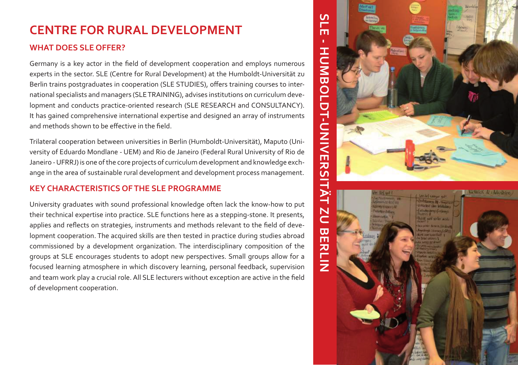# **CENTRE FOR RURAL DEVELOPMENT**

### **WHAT DOES SLE OFFER?**

Germany is a key actor in the field of development cooperation and employs numerous experts in the sector. SLE (Centre for Rural Development) at the Humboldt-Universität zu Berlin trains postgraduates in cooperation (SLE STUDIES), offers training courses to international specialists and managers (SLE TRAINING), advises institutions on curriculum development and conducts practice-oriented research (SLE RESEARCH and CONSULTANCY). It has gained comprehensive international expertise and designed an array of instruments and methods shown to be effective in the field.

Trilateral cooperation between universities in Berlin (Humboldt-Universität), Maputo (University of Eduardo Mondlane - UEM) and Rio de Janeiro (Federal Rural University of Rio de Janeiro - UFRRJ) is one of the core projects of curriculum development and knowledge exchange in the area of sustainable rural development and development process management.

# **KEY CHARACTERISTICS OF THE SLE PROGRAMME**

University graduates with sound professional knowledge often lack the know-how to put their technical expertise into practice. SLE functions here as a stepping-stone. It presents, applies and reflects on strategies, instruments and methods relevant to the field of development cooperation. The acquired skills are then tested in practice during studies abroad commissioned by a development organization. The interdisciplinary composition of the groups at SLE encourages students to adopt new perspectives. Small groups allow for a focused learning atmosphere in which discovery learning, personal feedback, supervision and team work play a crucial role. All SLE lecturers without exception are active in the field of development cooperation.

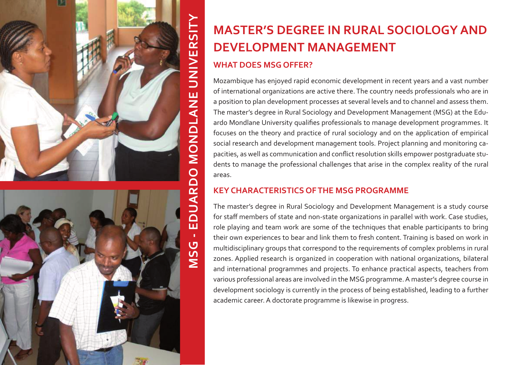



# **MASTER'S DEGREE IN RURAL SOCIOLOGY AND DEVELOPMENT MANAGEMENT**

### **WHAT DOES MSG OFFER?**

Mozambique has enjoyed rapid economic development in recent years and a vast number of international organizations are active there. The country needs professionals who are in a position to plan development processes at several levels and to channel and assess them. The master's degree in Rural Sociology and Development Management (MSG) at the Eduardo Mondlane University qualifies professionals to manage development programmes. It focuses on the theory and practice of rural sociology and on the application of empirical social research and development management tools. Project planning and monitoring capacities, as well as communication and conflict resolution skills empower postgraduate students to manage the professional challenges that arise in the complex reality of the rural areas.

# **KEY CHARACTERISTICS OF THE MSG PROGRAMME**

The master's degree in Rural Sociology and Development Management is a study course for staff members of state and non-state organizations in parallel with work. Case studies, role playing and team work are some of the techniques that enable participants to bring their own experiences to bear and link them to fresh content. Training is based on work in multidisciplinary groups that correspond to the requirements of complex problems in rural zones. Applied research is organized in cooperation with national organizations, bilateral and international programmes and projects. To enhance practical aspects, teachers from various professional areas are involved in the MSG programme. A master's degree course in development sociology is currently in the process of being established, leading to a further academic career. A doctorate programme is likewise in progress.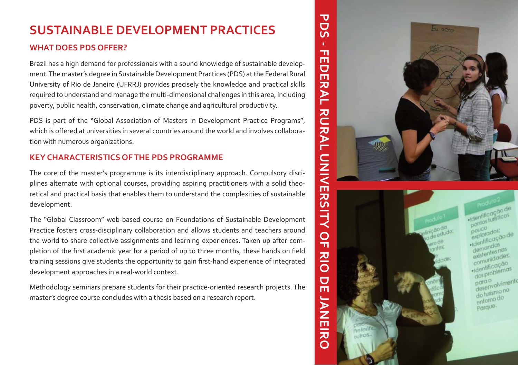# **SUSTAINABLE DEVELOPMENT PRACTICES**

### **WHAT DOES PDS OFFER?**

Brazil has a high demand for professionals with a sound knowledge of sustainable development. The master's degree in Sustainable Development Practices (PDS) at the Federal Rural University of Rio de Janeiro (UFRRJ) provides precisely the knowledge and practical skills required to understand and manage the multi-dimensional challenges in this area, including poverty, public health, conservation, climate change and agricultural productivity.

PDS is part of the "Global Association of Masters in Development Practice Programs", which is offered at universities in several countries around the world and involves collaboration with numerous organizations.

## **KEY CHARACTERISTICS OF THE PDS PROGRAMME**

The core of the master's programme is its interdisciplinary approach. Compulsory disciplines alternate with optional courses, providing aspiring practitioners with a solid theoretical and practical basis that enables them to understand the complexities of sustainable development.

The "Global Classroom" web-based course on Foundations of Sustainable Development Practice fosters cross-disciplinary collaboration and allows students and teachers around the world to share collective assignments and learning experiences. Taken up after completion of the first academic year for a period of up to three months, these hands on field training sessions give students the opportunity to gain first-hand experience of integrated development approaches in a real-world context.

Methodology seminars prepare students for their practice-oriented research projects. The master's degree course concludes with a thesis based on a research report.





**PDS - FEDERAL RURAL UNIVERSITY OF RIO DE JANEIRO** 

 $\frac{Q}{T}$ 

RIO

 $\overline{\mathbf{C}}$ 

ň

**NAEIR** 

 $\Omega$ 

᠊ᠣ Ŏ  $\overline{C}$ 

> -Identificação de ·Identificação pouco pouco<br>explorados: explorados:<br>explorados:<br>eldentificação de demandas demandas<br>existentes nas existentes<br>comunidades eomunicação dos problemas para o<br>desenvolvimento deservemono entomo do Parque.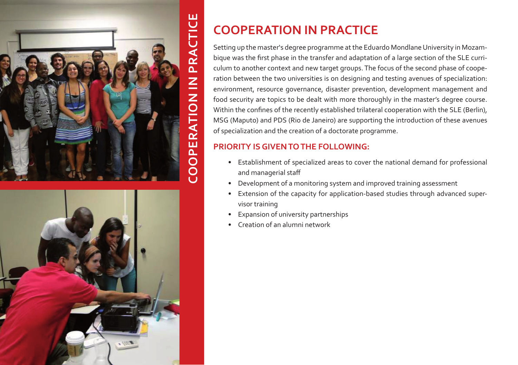



# **COOPERATION IN PRACTICE**

Setting up the master's degree programme at the Eduardo Mondlane University in Mozambique was the first phase in the transfer and adaptation of a large section of the SLE curriculum to another context and new target groups. The focus of the second phase of cooperation between the two universities is on designing and testing avenues of specialization: environment, resource governance, disaster prevention, development management and food security are topics to be dealt with more thoroughly in the master's degree course. Within the confines of the recently established trilateral cooperation with the SLE (Berlin), MSG (Maputo) and PDS (Rio de Janeiro) are supporting the introduction of these avenues of specialization and the creation of a doctorate programme.

# **PRIORITY IS GIVEN TO THE FOLLOWING:**

- Establishment of specialized areas to cover the national demand for professional and managerial staff
- Development of a monitoring system and improved training assessment
- Extension of the capacity for application-based studies through advanced supervisor training
- Expansion of university partnerships
- Creation of an alumni network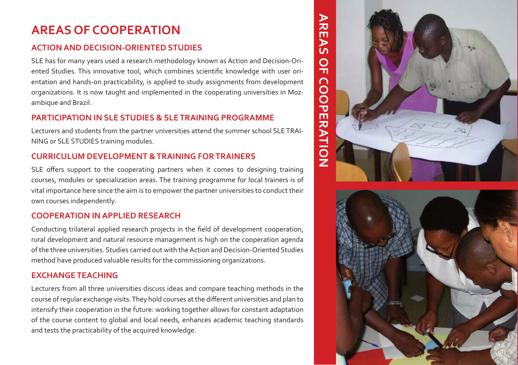# **AREAS OF COOPERATION**

### **ACTION AND DECISION-ORIENTED STUDIES**

SLE has for many years used a research methodology known as Action and Decision-Ori ented Studies. This innovative tool, which combines scientific knowledge with user ori entation and hands-on practicability, is applied to study assignments from development organizations. It is now taught and implemented in the cooperating universities in Moz ambique and Brazil.

### **PARTICIPATION IN SLE STUDIES & SLE TRAINING PROGRAMME**

Lecturers and students from the partner universities attend the summer school SLE TRAI - NING or SLE STUDIES training modules.

# **CURRICULUM DEVELOPMENT & TRAINING FOR TRAINERS**

SLE offers support to the cooperating partners when it comes to designing training courses, modules or specialization areas. The training programme for local trainers is of vital importance here since the aim is to empower the partner universities to conduct their own courses independently.

# **COOPERATION IN APPLIED RESEARCH**

Conducting trilateral applied research projects in the field of development cooperation, rural development and natural resource management is high on the cooperation agenda of the three universities. Studies carried out with the Action and Decision-Oriented Studies method have produced valuable results for the commissioning organizations.

### **EXCHANGE TEACHING**

Lecturers from all three universities discuss ideas and compare teaching methods in the course of regular exchange visits. They hold courses at the different universities and plan to intensify their cooperation in the future: working together allows for constant adaptation of the course content to global and local needs, enhances academic teaching standards and tests the practicability of the acquired knowledge.